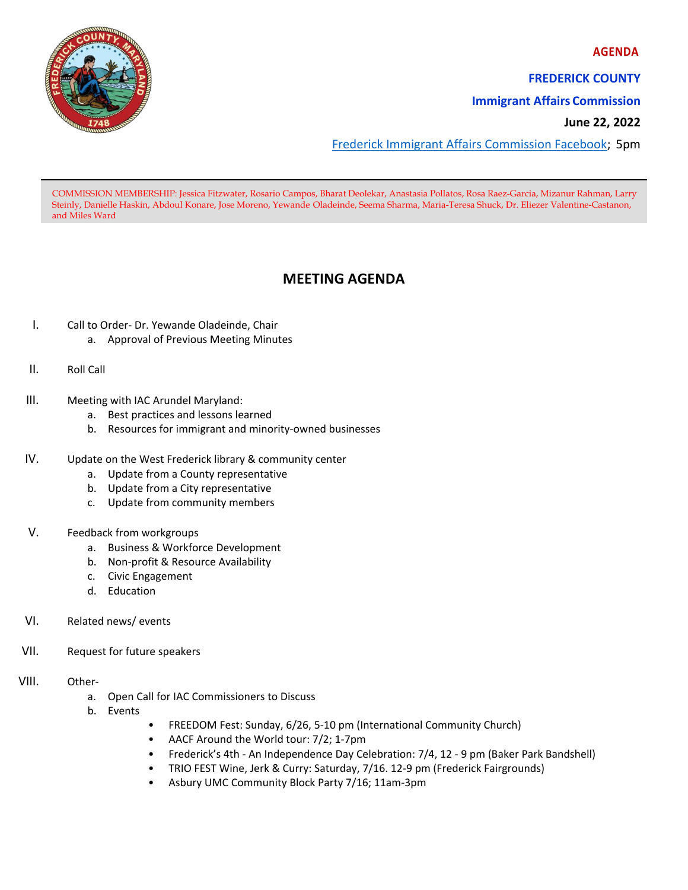**AGENDA**



**FREDERICK COUNTY**

**Immigrant Affairs Commission**

**June 22, 2022** 

Frederick Immigrant Affairs Commission Facebook; 5pm

COMMISSION MEMBERSHIP: Jessica Fitzwater, Rosario Campos, Bharat Deolekar, Anastasia Pollatos, Rosa Raez-Garcia, Mizanur Rahman, Larry Steinly, Danielle Haskin, Abdoul Konare, Jose Moreno, Yewande Oladeinde, Seema Sharma, Maria-Teresa Shuck, Dr. Eliezer Valentine-Castanon, and Miles Ward

## **MEETING AGENDA**

- I. Call to Order‐ Dr. Yewande Oladeinde, Chair
	- a. Approval of Previous Meeting Minutes
- II. Roll Call
- III. Meeting with IAC Arundel Maryland:
	- a. Best practices and lessons learned
	- b. Resources for immigrant and minority‐owned businesses
- IV. Update on the West Frederick library & community center
	- a. Update from a County representative
	- b. Update from a City representative
	- c. Update from community members

## V. Feedback from workgroups

- a. Business & Workforce Development
- b. Non‐profit & Resource Availability
- c. Civic Engagement
- d. Education
- VI. Related news/ events
- VII. Request for future speakers
- VIII. Other
	- a. Open Call for IAC Commissioners to Discuss
	- b. Events
- FREEDOM Fest: Sunday, 6/26, 5‐10 pm (International Community Church)
- AACF Around the World tour: 7/2; 1‐7pm
- Frederick's 4th ‐ An Independence Day Celebration: 7/4, 12 ‐ 9 pm (Baker Park Bandshell)
- TRIO FEST Wine, Jerk & Curry: Saturday, 7/16. 12‐9 pm (Frederick Fairgrounds)
- Asbury UMC Community Block Party 7/16; 11am‐3pm